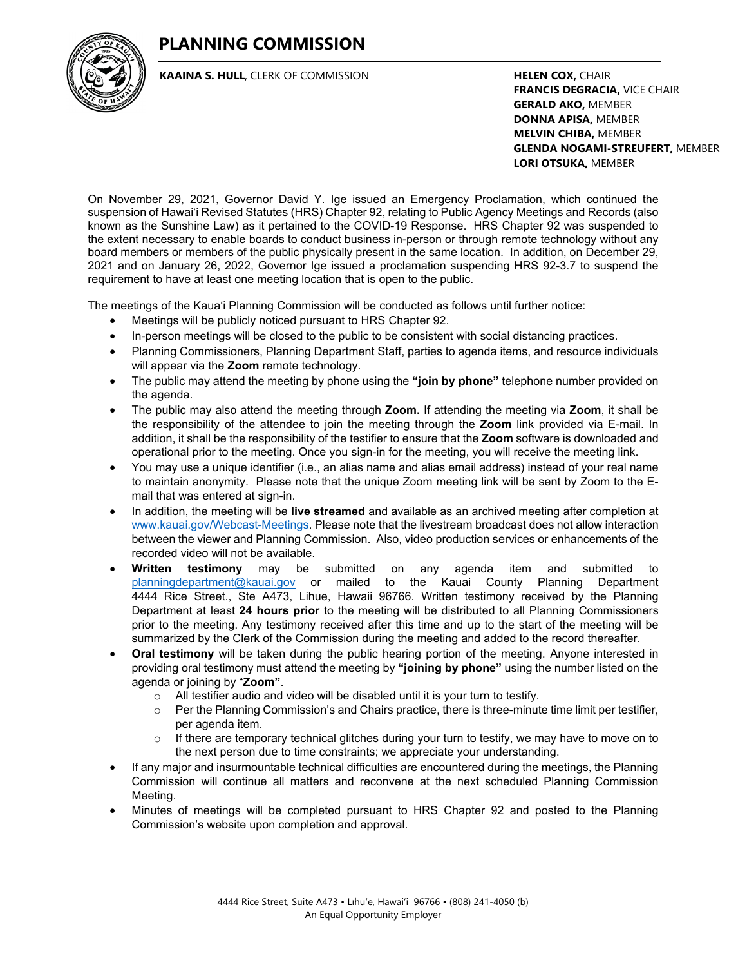# **PLANNING COMMISSION**



**KAAINA S. HULL**, CLERK OF COMMISSION

**HELEN COX,** CHAIR **FRANCIS DEGRACIA,** VICE CHAIR **GERALD AKO,** MEMBER **DONNA APISA,** MEMBER **MELVIN CHIBA,** MEMBER **GLENDA NOGAMI-STREUFERT,** MEMBER **LORI OTSUKA,** MEMBER

On November 29, 2021, Governor David Y. Ige issued an Emergency Proclamation, which continued the suspension of Hawai'i Revised Statutes (HRS) Chapter 92, relating to Public Agency Meetings and Records (also known as the Sunshine Law) as it pertained to the COVID-19 Response. HRS Chapter 92 was suspended to the extent necessary to enable boards to conduct business in-person or through remote technology without any board members or members of the public physically present in the same location. In addition, on December 29, 2021 and on January 26, 2022, Governor Ige issued a proclamation suspending HRS 92-3.7 to suspend the requirement to have at least one meeting location that is open to the public.

The meetings of the Kaua'i Planning Commission will be conducted as follows until further notice:

- Meetings will be publicly noticed pursuant to HRS Chapter 92.
- In-person meetings will be closed to the public to be consistent with social distancing practices.
- Planning Commissioners, Planning Department Staff, parties to agenda items, and resource individuals will appear via the **Zoom** remote technology.
- The public may attend the meeting by phone using the **"join by phone"** telephone number provided on the agenda.
- The public may also attend the meeting through **Zoom.** If attending the meeting via **Zoom**, it shall be the responsibility of the attendee to join the meeting through the **Zoom** link provided via E-mail. In addition, it shall be the responsibility of the testifier to ensure that the **Zoom** software is downloaded and operational prior to the meeting. Once you sign-in for the meeting, you will receive the meeting link.
- You may use a unique identifier (i.e., an alias name and alias email address) instead of your real name to maintain anonymity. Please note that the unique Zoom meeting link will be sent by Zoom to the Email that was entered at sign-in.
- In addition, the meeting will be **live streamed** and available as an archived meeting after completion at [www.kauai.gov/Webcast-Meetings.](http://www.kauai.gov/Webcast-Meetings) Please note that the livestream broadcast does not allow interaction between the viewer and Planning Commission. Also, video production services or enhancements of the recorded video will not be available.
- **Written testimony** may be submitted on any agenda item and submitted to [planningdepartment@kauai.gov](mailto:planningdepartment@kauai.gov) or mailed to the Kauai County Planning Department 4444 Rice Street., Ste A473, Lihue, Hawaii 96766. Written testimony received by the Planning Department at least **24 hours prior** to the meeting will be distributed to all Planning Commissioners prior to the meeting. Any testimony received after this time and up to the start of the meeting will be summarized by the Clerk of the Commission during the meeting and added to the record thereafter.
- **Oral testimony** will be taken during the public hearing portion of the meeting. Anyone interested in providing oral testimony must attend the meeting by **"joining by phone"** using the number listed on the agenda or joining by "**Zoom"**.
	- $\circ$  All testifier audio and video will be disabled until it is your turn to testify.<br>  $\circ$  Per the Planning Commission's and Chairs practice, there is three-minut
	- Per the Planning Commission's and Chairs practice, there is three-minute time limit per testifier, per agenda item.
	- $\circ$  If there are temporary technical glitches during your turn to testify, we may have to move on to the next person due to time constraints; we appreciate your understanding.
- If any major and insurmountable technical difficulties are encountered during the meetings, the Planning Commission will continue all matters and reconvene at the next scheduled Planning Commission Meeting.
- Minutes of meetings will be completed pursuant to HRS Chapter 92 and posted to the Planning Commission's website upon completion and approval.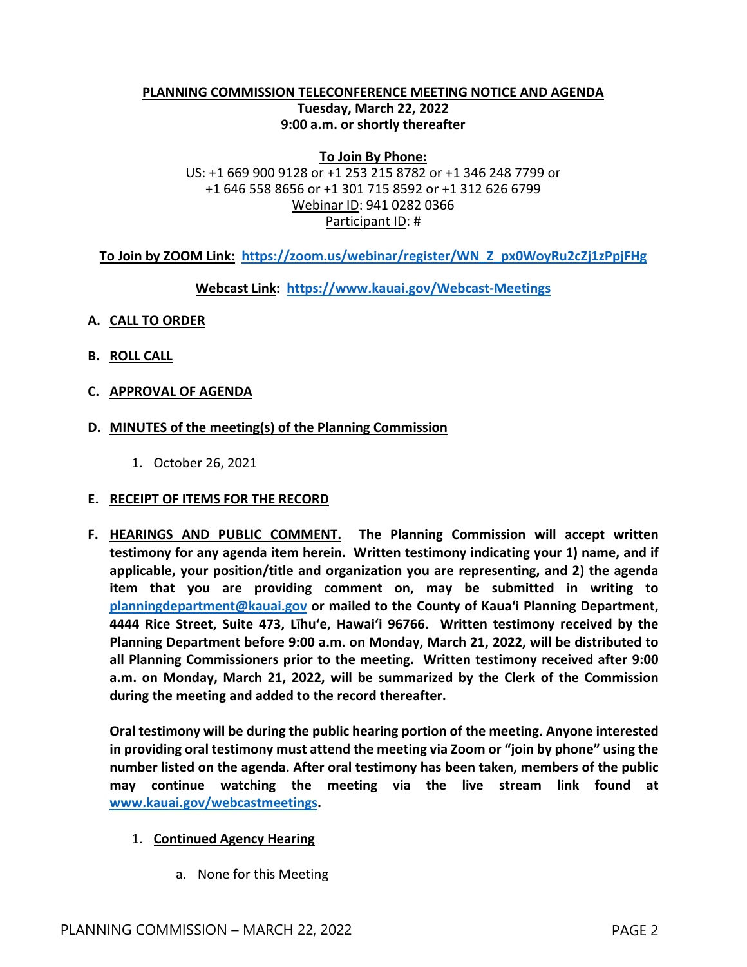#### **PLANNING COMMISSION TELECONFERENCE MEETING NOTICE AND AGENDA Tuesday, March 22, 2022 9:00 a.m. or shortly thereafter**

**To Join By Phone:** US: +1 669 900 9128 or +1 253 215 8782 or +1 346 248 7799 or +1 646 558 8656 or +1 301 715 8592 or +1 312 626 6799 Webinar ID: 941 0282 0366 Participant ID: #

**To Join by ZOOM Link: [https://zoom.us/webinar/register/WN\\_Z\\_px0WoyRu2cZj1zPpjFHg](https://zoom.us/webinar/register/WN_Z_px0WoyRu2cZj1zPpjFHg)**

**Webcast Link: <https://www.kauai.gov/Webcast-Meetings>**

- **A. CALL TO ORDER**
- **B. ROLL CALL**
- **C. APPROVAL OF AGENDA**
- **D. MINUTES of the meeting(s) of the Planning Commission**
	- 1. October 26, 2021

#### **E. RECEIPT OF ITEMS FOR THE RECORD**

**F. HEARINGS AND PUBLIC COMMENT. The Planning Commission will accept written testimony for any agenda item herein. Written testimony indicating your 1) name, and if applicable, your position/title and organization you are representing, and 2) the agenda item that you are providing comment on, may be submitted in writing to [planningdepartment@kauai.gov](mailto:planningdepartment@kauai.gov) or mailed to the County of Kaua'i Planning Department, 4444 Rice Street, Suite 473, Līhu'e, Hawai'i 96766. Written testimony received by the Planning Department before 9:00 a.m. on Monday, March 21, 2022, will be distributed to all Planning Commissioners prior to the meeting. Written testimony received after 9:00 a.m. on Monday, March 21, 2022, will be summarized by the Clerk of the Commission during the meeting and added to the record thereafter.** 

**Oral testimony will be during the public hearing portion of the meeting. Anyone interested in providing oral testimony must attend the meeting via Zoom or "join by phone" using the number listed on the agenda. After oral testimony has been taken, members of the public may continue watching the meeting via the live stream link found at [www.kauai.gov/webcastmeetings.](http://www.kauai.gov/webcastmeetings)** 

#### 1. **Continued Agency Hearing**

a. None for this Meeting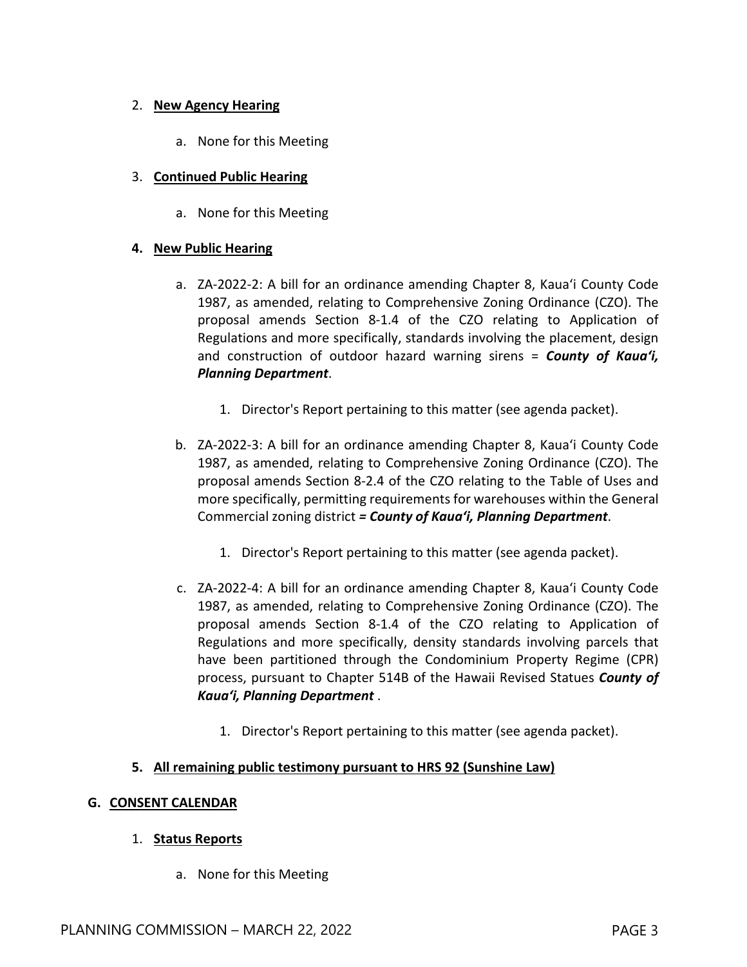### 2. **New Agency Hearing**

a. None for this Meeting

#### 3. **Continued Public Hearing**

a. None for this Meeting

### **4. New Public Hearing**

- a. ZA-2022-2: A bill for an ordinance amending Chapter 8, Kaua'i County Code 1987, as amended, relating to Comprehensive Zoning Ordinance (CZO). The proposal amends Section 8-1.4 of the CZO relating to Application of Regulations and more specifically, standards involving the placement, design and construction of outdoor hazard warning sirens = *County of Kaua'i, Planning Department*.
	- 1. Director's Report pertaining to this matter (see agenda packet).
- b. ZA-2022-3: A bill for an ordinance amending Chapter 8, Kaua'i County Code 1987, as amended, relating to Comprehensive Zoning Ordinance (CZO). The proposal amends Section 8-2.4 of the CZO relating to the Table of Uses and more specifically, permitting requirements for warehouses within the General Commercial zoning district *= County of Kaua'i, Planning Department*.
	- 1. Director's Report pertaining to this matter (see agenda packet).
- c. ZA-2022-4: A bill for an ordinance amending Chapter 8, Kaua'i County Code 1987, as amended, relating to Comprehensive Zoning Ordinance (CZO). The proposal amends Section 8-1.4 of the CZO relating to Application of Regulations and more specifically, density standards involving parcels that have been partitioned through the Condominium Property Regime (CPR) process, pursuant to Chapter 514B of the Hawaii Revised Statues *County of Kaua'i, Planning Department* .
	- 1. Director's Report pertaining to this matter (see agenda packet).

### **5. All remaining public testimony pursuant to HRS 92 (Sunshine Law)**

#### **G. CONSENT CALENDAR**

### 1. **Status Reports**

a. None for this Meeting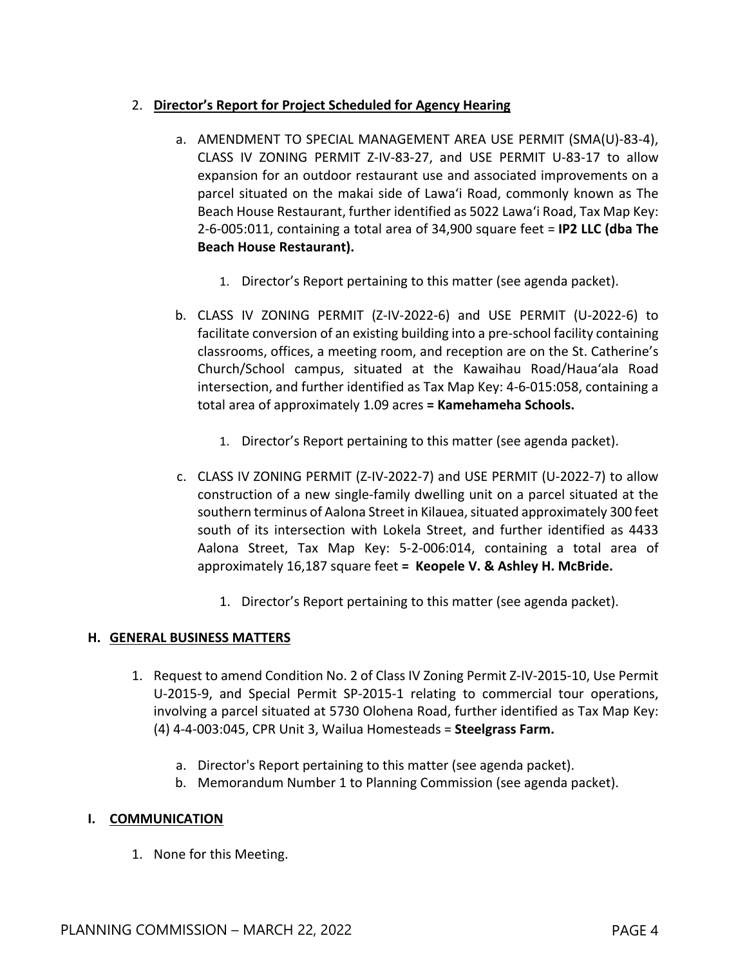### 2. **Director's Report for Project Scheduled for Agency Hearing**

- a. AMENDMENT TO SPECIAL MANAGEMENT AREA USE PERMIT (SMA(U)-83-4), CLASS IV ZONING PERMIT Z-IV-83-27, and USE PERMIT U-83-17 to allow expansion for an outdoor restaurant use and associated improvements on a parcel situated on the makai side of Lawa'i Road, commonly known as The Beach House Restaurant, further identified as 5022 Lawa'i Road, Tax Map Key: 2-6-005:011, containing a total area of 34,900 square feet = **IP2 LLC (dba The Beach House Restaurant).**
	- 1. Director's Report pertaining to this matter (see agenda packet).
- b. CLASS IV ZONING PERMIT (Z-IV-2022-6) and USE PERMIT (U-2022-6) to facilitate conversion of an existing building into a pre-school facility containing classrooms, offices, a meeting room, and reception are on the St. Catherine's Church/School campus, situated at the Kawaihau Road/Haua'ala Road intersection, and further identified as Tax Map Key: 4-6-015:058, containing a total area of approximately 1.09 acres **= Kamehameha Schools.**
	- 1. Director's Report pertaining to this matter (see agenda packet).
- c. CLASS IV ZONING PERMIT (Z-IV-2022-7) and USE PERMIT (U-2022-7) to allow construction of a new single-family dwelling unit on a parcel situated at the southern terminus of Aalona Street in Kilauea, situated approximately 300 feet south of its intersection with Lokela Street, and further identified as 4433 Aalona Street, Tax Map Key: 5-2-006:014, containing a total area of approximately 16,187 square feet **= Keopele V. & Ashley H. McBride.**
	- 1. Director's Report pertaining to this matter (see agenda packet).

### **H. GENERAL BUSINESS MATTERS**

- 1. Request to amend Condition No. 2 of Class IV Zoning Permit Z-IV-2015-10, Use Permit U-2015-9, and Special Permit SP-2015-1 relating to commercial tour operations, involving a parcel situated at 5730 Olohena Road, further identified as Tax Map Key: (4) 4-4-003:045, CPR Unit 3, Wailua Homesteads = **Steelgrass Farm.**
	- a. Director's Report pertaining to this matter (see agenda packet).
	- b. Memorandum Number 1 to Planning Commission (see agenda packet).

### **I. COMMUNICATION**

1. None for this Meeting.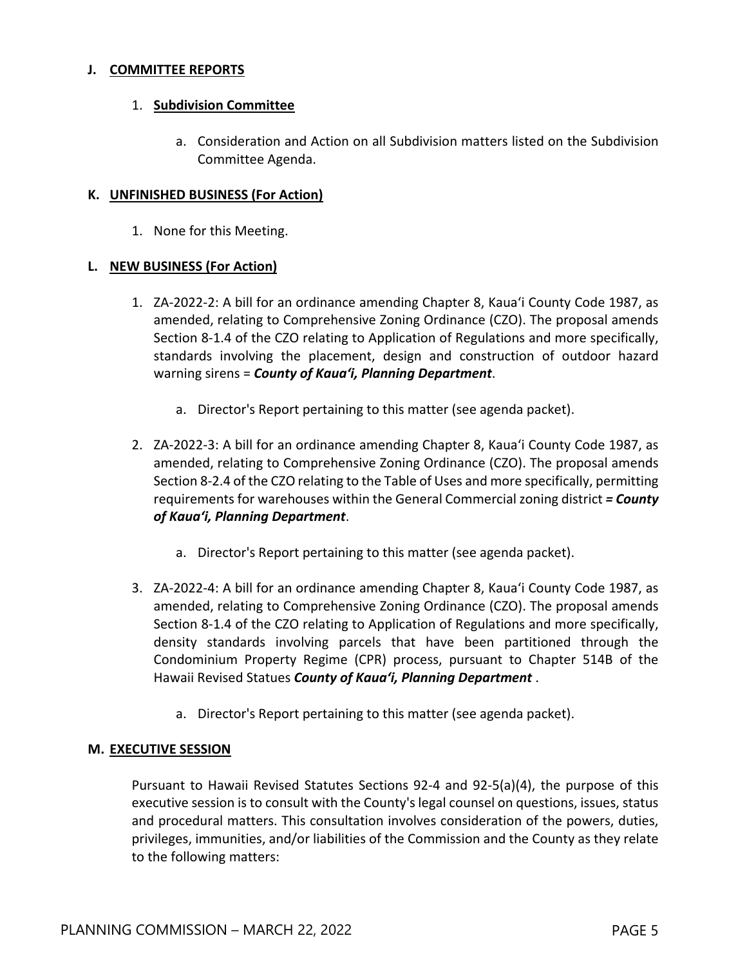#### **J. COMMITTEE REPORTS**

#### 1. **Subdivision Committee**

a. Consideration and Action on all Subdivision matters listed on the Subdivision Committee Agenda.

#### **K. UNFINISHED BUSINESS (For Action)**

1. None for this Meeting.

#### **L. NEW BUSINESS (For Action)**

- 1. ZA-2022-2: A bill for an ordinance amending Chapter 8, Kaua'i County Code 1987, as amended, relating to Comprehensive Zoning Ordinance (CZO). The proposal amends Section 8-1.4 of the CZO relating to Application of Regulations and more specifically, standards involving the placement, design and construction of outdoor hazard warning sirens = *County of Kaua'i, Planning Department*.
	- a. Director's Report pertaining to this matter (see agenda packet).
- 2. ZA-2022-3: A bill for an ordinance amending Chapter 8, Kaua'i County Code 1987, as amended, relating to Comprehensive Zoning Ordinance (CZO). The proposal amends Section 8-2.4 of the CZO relating to the Table of Uses and more specifically, permitting requirements for warehouses within the General Commercial zoning district *= County of Kaua'i, Planning Department*.
	- a. Director's Report pertaining to this matter (see agenda packet).
- 3. ZA-2022-4: A bill for an ordinance amending Chapter 8, Kaua'i County Code 1987, as amended, relating to Comprehensive Zoning Ordinance (CZO). The proposal amends Section 8-1.4 of the CZO relating to Application of Regulations and more specifically, density standards involving parcels that have been partitioned through the Condominium Property Regime (CPR) process, pursuant to Chapter 514B of the Hawaii Revised Statues *County of Kaua'i, Planning Department* .
	- a. Director's Report pertaining to this matter (see agenda packet).

#### **M. EXECUTIVE SESSION**

Pursuant to Hawaii Revised Statutes Sections 92-4 and 92-5(a)(4), the purpose of this executive session is to consult with the County's legal counsel on questions, issues, status and procedural matters. This consultation involves consideration of the powers, duties, privileges, immunities, and/or liabilities of the Commission and the County as they relate to the following matters: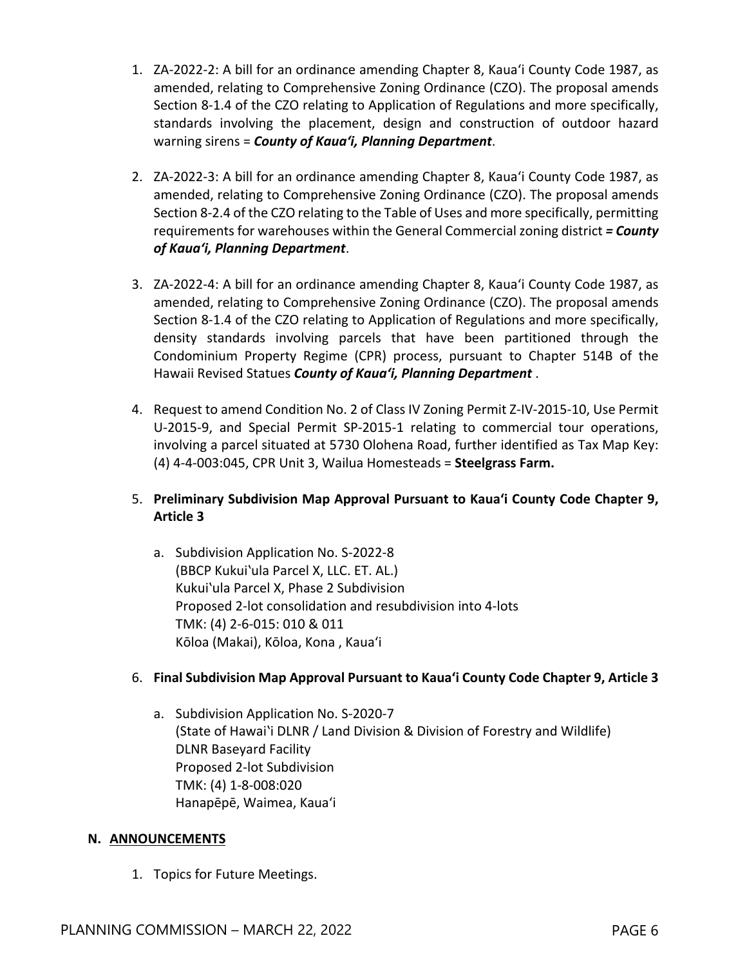- 1. ZA-2022-2: A bill for an ordinance amending Chapter 8, Kaua'i County Code 1987, as amended, relating to Comprehensive Zoning Ordinance (CZO). The proposal amends Section 8-1.4 of the CZO relating to Application of Regulations and more specifically, standards involving the placement, design and construction of outdoor hazard warning sirens = *County of Kaua'i, Planning Department*.
- 2. ZA-2022-3: A bill for an ordinance amending Chapter 8, Kaua'i County Code 1987, as amended, relating to Comprehensive Zoning Ordinance (CZO). The proposal amends Section 8-2.4 of the CZO relating to the Table of Uses and more specifically, permitting requirements for warehouses within the General Commercial zoning district *= County of Kaua'i, Planning Department*.
- 3. ZA-2022-4: A bill for an ordinance amending Chapter 8, Kaua'i County Code 1987, as amended, relating to Comprehensive Zoning Ordinance (CZO). The proposal amends Section 8-1.4 of the CZO relating to Application of Regulations and more specifically, density standards involving parcels that have been partitioned through the Condominium Property Regime (CPR) process, pursuant to Chapter 514B of the Hawaii Revised Statues *County of Kaua'i, Planning Department* .
- 4. Request to amend Condition No. 2 of Class IV Zoning Permit Z-IV-2015-10, Use Permit U-2015-9, and Special Permit SP-2015-1 relating to commercial tour operations, involving a parcel situated at 5730 Olohena Road, further identified as Tax Map Key: (4) 4-4-003:045, CPR Unit 3, Wailua Homesteads = **Steelgrass Farm.**

## 5. **Preliminary Subdivision Map Approval Pursuant to Kaua'i County Code Chapter 9, Article 3**

a. Subdivision Application No. S-2022-8 (BBCP Kukuiʽula Parcel X, LLC. ET. AL.) Kukuiʽula Parcel X, Phase 2 Subdivision Proposed 2-lot consolidation and resubdivision into 4-lots TMK: (4) 2-6-015: 010 & 011 Kōloa (Makai), Kōloa, Kona , Kaua'i

### 6. **Final Subdivision Map Approval Pursuant to Kaua'i County Code Chapter 9, Article 3**

a. Subdivision Application No. S-2020-7 (State of Hawaiʽi DLNR / Land Division & Division of Forestry and Wildlife) DLNR Baseyard Facility Proposed 2-lot Subdivision TMK: (4) 1-8-008:020 Hanapēpē, Waimea, Kaua'i

### **N. ANNOUNCEMENTS**

1. Topics for Future Meetings.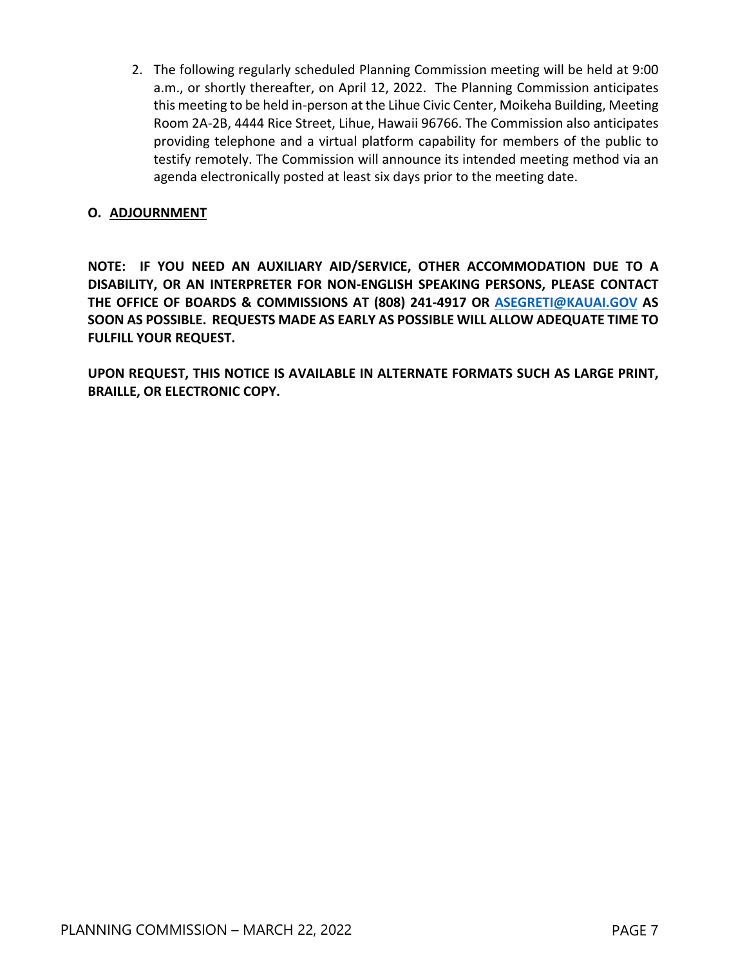2. The following regularly scheduled Planning Commission meeting will be held at 9:00 a.m., or shortly thereafter, on April 12, 2022. The Planning Commission anticipates this meeting to be held in-person at the Lihue Civic Center, Moikeha Building, Meeting Room 2A-2B, 4444 Rice Street, Lihue, Hawaii 96766. The Commission also anticipates providing telephone and a virtual platform capability for members of the public to testify remotely. The Commission will announce its intended meeting method via an agenda electronically posted at least six days prior to the meeting date.

#### **O. ADJOURNMENT**

**NOTE: IF YOU NEED AN AUXILIARY AID/SERVICE, OTHER ACCOMMODATION DUE TO A DISABILITY, OR AN INTERPRETER FOR NON-ENGLISH SPEAKING PERSONS, PLEASE CONTACT THE OFFICE OF BOARDS & COMMISSIONS AT (808) 241-4917 OR [ASEGRETI@KAUAI.GOV](mailto:ASEGRETI@KAUAI.GOV) AS SOON AS POSSIBLE. REQUESTS MADE AS EARLY AS POSSIBLE WILL ALLOW ADEQUATE TIME TO FULFILL YOUR REQUEST.** 

**UPON REQUEST, THIS NOTICE IS AVAILABLE IN ALTERNATE FORMATS SUCH AS LARGE PRINT, BRAILLE, OR ELECTRONIC COPY.**